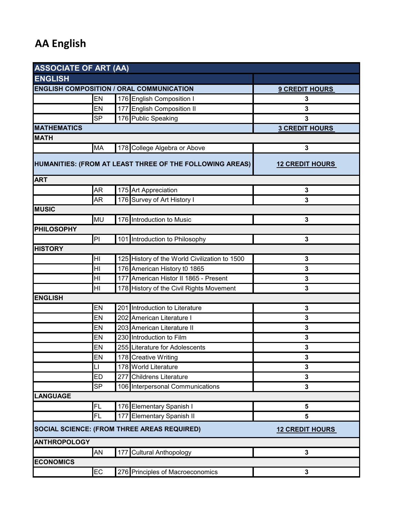## **AA English**

| <b>ASSOCIATE OF ART (AA)</b>                             |                |                        |                                               |              |  |  |  |
|----------------------------------------------------------|----------------|------------------------|-----------------------------------------------|--------------|--|--|--|
| <b>ENGLISH</b>                                           |                |                        |                                               |              |  |  |  |
| <b>ENGLISH COMPOSITION / ORAL COMMUNICATION</b>          |                | <b>9 CREDIT HOURS</b>  |                                               |              |  |  |  |
|                                                          | EN             |                        | 176 English Composition I                     | 3            |  |  |  |
|                                                          | EN             | 177                    | <b>English Composition II</b>                 | 3            |  |  |  |
|                                                          | <b>SP</b>      |                        | 176 Public Speaking                           | 3            |  |  |  |
| <b>MATHEMATICS</b>                                       |                | <b>3 CREDIT HOURS</b>  |                                               |              |  |  |  |
| <b>MATH</b>                                              |                |                        |                                               |              |  |  |  |
|                                                          | <b>MA</b>      |                        | 178 College Algebra or Above                  | 3            |  |  |  |
| HUMANITIES: (FROM AT LEAST THREE OF THE FOLLOWING AREAS) |                | <b>12 CREDIT HOURS</b> |                                               |              |  |  |  |
| <b>ART</b>                                               |                |                        |                                               |              |  |  |  |
|                                                          | <b>AR</b>      |                        | 175 Art Appreciation                          | $\mathbf 3$  |  |  |  |
|                                                          | <b>AR</b>      |                        | 176 Survey of Art History I                   | 3            |  |  |  |
| <b>MUSIC</b>                                             |                |                        |                                               |              |  |  |  |
|                                                          | <b>MU</b>      |                        | 176 Introduction to Music                     | 3            |  |  |  |
| <b>PHILOSOPHY</b>                                        |                |                        |                                               |              |  |  |  |
|                                                          | P              |                        | 101 Introduction to Philosophy                | 3            |  |  |  |
| <b>HISTORY</b>                                           |                |                        |                                               |              |  |  |  |
|                                                          | ΗI             |                        | 125 History of the World Civilization to 1500 | 3            |  |  |  |
|                                                          | H <sub>l</sub> |                        | 176 American History t0 1865                  | 3            |  |  |  |
|                                                          | H <sub>l</sub> |                        | 177 American Histor II 1865 - Present         | 3            |  |  |  |
|                                                          | H <sub>l</sub> |                        | 178 History of the Civil Rights Movement      | 3            |  |  |  |
| <b>ENGLISH</b>                                           |                |                        |                                               |              |  |  |  |
|                                                          | EN             |                        | 201 Introduction to Literature                | 3            |  |  |  |
|                                                          | EN             |                        | 202 American Literature I                     | 3            |  |  |  |
|                                                          | EN             |                        | 203 American Literature II                    | 3            |  |  |  |
|                                                          | EN             |                        | 230 Introduction to Film                      | 3            |  |  |  |
|                                                          | EN             |                        | 255 Literature for Adolescents                | 3            |  |  |  |
|                                                          | EN             |                        | 178 Creative Writing                          | $\mathbf 3$  |  |  |  |
|                                                          | LI             |                        | 178 World Literature                          | 3            |  |  |  |
|                                                          | <b>ED</b>      | 277                    | Childrens Literature                          | 3            |  |  |  |
|                                                          | <b>SP</b>      |                        | 106 Interpersonal Communications              | 3            |  |  |  |
| <b>LANGUAGE</b>                                          |                |                        |                                               |              |  |  |  |
|                                                          | FL             |                        | 176 Elementary Spanish I                      | 5            |  |  |  |
|                                                          | FL             | 177                    | <b>Elementary Spanish II</b>                  | 5            |  |  |  |
| SOCIAL SCIENCE: (FROM THREE AREAS REQUIRED)              |                | <b>12 CREDIT HOURS</b> |                                               |              |  |  |  |
| <b>ANTHROPOLOGY</b>                                      |                |                        |                                               |              |  |  |  |
|                                                          | <b>AN</b>      |                        | 177 Cultural Anthopology                      | $\mathbf{3}$ |  |  |  |
| <b>ECONOMICS</b>                                         |                |                        |                                               |              |  |  |  |
|                                                          | EC             |                        | 276 Principles of Macroeconomics              | 3            |  |  |  |